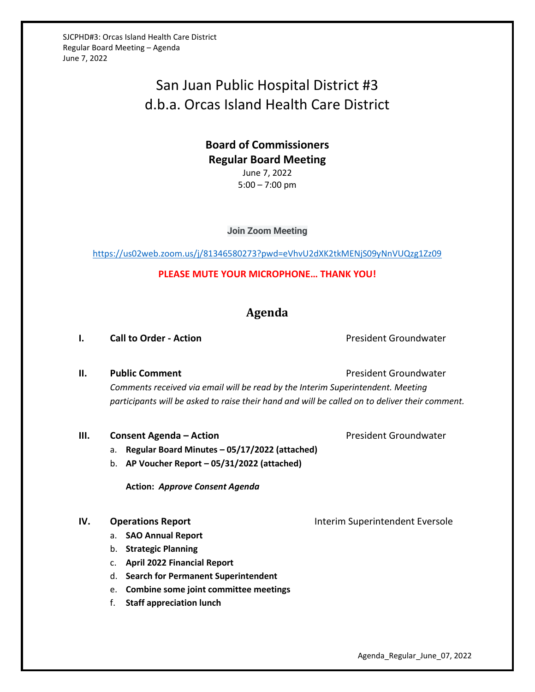SJCPHD#3: Orcas Island Health Care District Regular Board Meeting – Agenda June 7, 2022

# San Juan Public Hospital District #3 d.b.a. Orcas Island Health Care District

## **Board of Commissioners Regular Board Meeting** June 7, 2022 5:00 – 7:00 pm

**Join Zoom Meeting**

<https://us02web.zoom.us/j/81346580273?pwd=eVhvU2dXK2tkMENjS09yNnVUQzg1Zz09>

**PLEASE MUTE YOUR MICROPHONE… THANK YOU!**

# **Agenda**

### **I. Call to Order - Action Call to Order - Action President Groundwater**

**II. Public Comment President Groundwater President Groundwater** 

*Comments received via email will be read by the Interim Superintendent. Meeting participants will be asked to raise their hand and will be called on to deliver their comment.*

#### **III. Consent Agenda – Action Consexual Action President Groundwater**

- a. **Regular Board Minutes – 05/17/2022 (attached)**
- b. **AP Voucher Report – 05/31/2022 (attached)**

**Action:** *Approve Consent Agenda*

- a. **SAO Annual Report**
- b. **Strategic Planning**
- c. **April 2022 Financial Report**
- d. **Search for Permanent Superintendent**
- e. **Combine some joint committee meetings**
- f. **Staff appreciation lunch**

**IV. Operations Report Interim Superintendent Eversole**